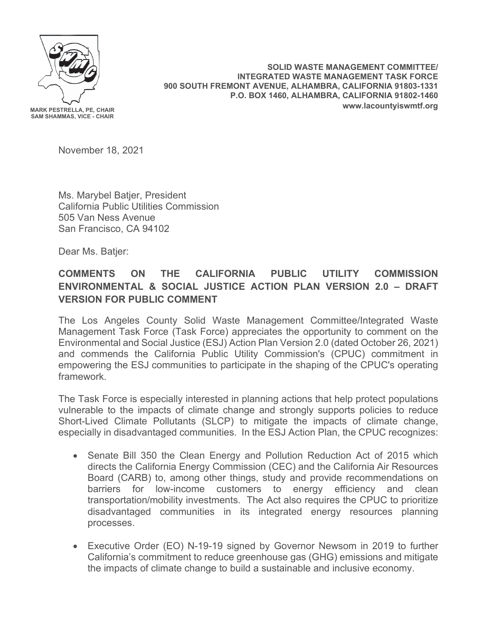

**SOLID WASTE MANAGEMENT COMMITTEE/ INTEGRATED WASTE MANAGEMENT TASK FORCE 900 SOUTH FREMONT AVENUE, ALHAMBRA, CALIFORNIA 91803-1331 P.O. BOX 1460, ALHAMBRA, CALIFORNIA 91802-1460 www.lacountyiswmtf.org** 

November 18, 2021

Ms. Marybel Batjer, President California Public Utilities Commission 505 Van Ness Avenue San Francisco, CA 94102

Dear Ms. Batjer:

## **COMMENTS ON THE CALIFORNIA PUBLIC UTILITY COMMISSION ENVIRONMENTAL & SOCIAL JUSTICE ACTION PLAN VERSION 2.0 – DRAFT VERSION FOR PUBLIC COMMENT**

The Los Angeles County Solid Waste Management Committee/Integrated Waste Management Task Force (Task Force) appreciates the opportunity to comment on the Environmental and Social Justice (ESJ) Action Plan Version 2.0 (dated October 26, 2021) and commends the California Public Utility Commission's (CPUC) commitment in empowering the ESJ communities to participate in the shaping of the CPUC's operating framework.

The Task Force is especially interested in planning actions that help protect populations vulnerable to the impacts of climate change and strongly supports policies to reduce Short-Lived Climate Pollutants (SLCP) to mitigate the impacts of climate change, especially in disadvantaged communities. In the ESJ Action Plan, the CPUC recognizes:

- Senate Bill 350 the Clean Energy and Pollution Reduction Act of 2015 which directs the California Energy Commission (CEC) and the California Air Resources Board (CARB) to, among other things, study and provide recommendations on barriers for low-income customers to energy efficiency and clean transportation/mobility investments. The Act also requires the CPUC to prioritize disadvantaged communities in its integrated energy resources planning processes.
- Executive Order (EO) N-19-19 signed by Governor Newsom in 2019 to further California's commitment to reduce greenhouse gas (GHG) emissions and mitigate the impacts of climate change to build a sustainable and inclusive economy.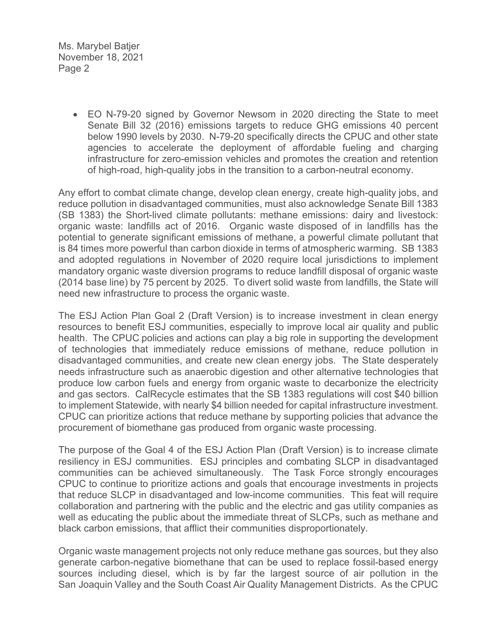Ms. Marybel Batjer November 18, 2021 Page 2

> • EO N-79-20 signed by Governor Newsom in 2020 directing the State to meet Senate Bill 32 (2016) emissions targets to reduce GHG emissions 40 percent below 1990 levels by 2030. N-79-20 specifically directs the CPUC and other state agencies to accelerate the deployment of affordable fueling and charging infrastructure for zero-emission vehicles and promotes the creation and retention of high-road, high-quality jobs in the transition to a carbon-neutral economy.

Any effort to combat climate change, develop clean energy, create high-quality jobs, and reduce pollution in disadvantaged communities, must also acknowledge Senate Bill 1383 (SB 1383) the Short-lived climate pollutants: methane emissions: dairy and livestock: organic waste: landfills act of 2016. Organic waste disposed of in landfills has the potential to generate significant emissions of methane, a powerful climate pollutant that is 84 times more powerful than carbon dioxide in terms of atmospheric warming. SB 1383 and adopted regulations in November of 2020 require local jurisdictions to implement mandatory organic waste diversion programs to reduce landfill disposal of organic waste (2014 base line) by 75 percent by 2025. To divert solid waste from landfills, the State will need new infrastructure to process the organic waste.

The ESJ Action Plan Goal 2 (Draft Version) is to increase investment in clean energy resources to benefit ESJ communities, especially to improve local air quality and public health. The CPUC policies and actions can play a big role in supporting the development of technologies that immediately reduce emissions of methane, reduce pollution in disadvantaged communities, and create new clean energy jobs. The State desperately needs infrastructure such as anaerobic digestion and other alternative technologies that produce low carbon fuels and energy from organic waste to decarbonize the electricity and gas sectors. CalRecycle estimates that the SB 1383 regulations will cost \$40 billion to implement Statewide, with nearly \$4 billion needed for capital infrastructure investment. CPUC can prioritize actions that reduce methane by supporting policies that advance the procurement of biomethane gas produced from organic waste processing.

The purpose of the Goal 4 of the ESJ Action Plan (Draft Version) is to increase climate resiliency in ESJ communities. ESJ principles and combating SLCP in disadvantaged communities can be achieved simultaneously. The Task Force strongly encourages CPUC to continue to prioritize actions and goals that encourage investments in projects that reduce SLCP in disadvantaged and low-income communities. This feat will require collaboration and partnering with the public and the electric and gas utility companies as well as educating the public about the immediate threat of SLCPs, such as methane and black carbon emissions, that afflict their communities disproportionately.

Organic waste management projects not only reduce methane gas sources, but they also generate carbon-negative biomethane that can be used to replace fossil-based energy sources including diesel, which is by far the largest source of air pollution in the San Joaquin Valley and the South Coast Air Quality Management Districts. As the CPUC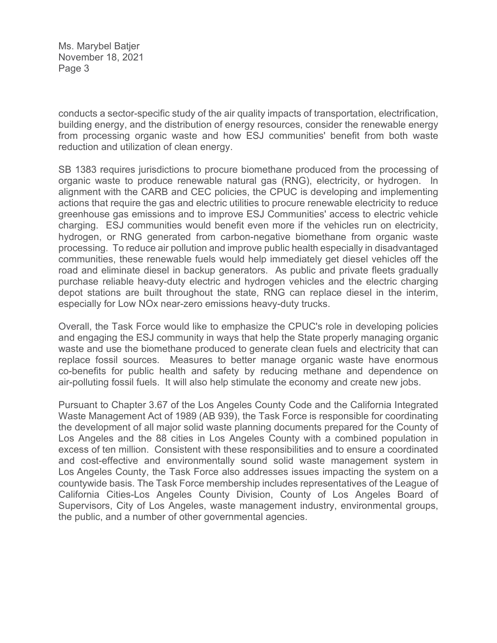Ms. Marybel Batjer November 18, 2021 Page 3

conducts a sector-specific study of the air quality impacts of transportation, electrification, building energy, and the distribution of energy resources, consider the renewable energy from processing organic waste and how ESJ communities' benefit from both waste reduction and utilization of clean energy.

SB 1383 requires jurisdictions to procure biomethane produced from the processing of organic waste to produce renewable natural gas (RNG), electricity, or hydrogen. In alignment with the CARB and CEC policies, the CPUC is developing and implementing actions that require the gas and electric utilities to procure renewable electricity to reduce greenhouse gas emissions and to improve ESJ Communities' access to electric vehicle charging. ESJ communities would benefit even more if the vehicles run on electricity, hydrogen, or RNG generated from carbon-negative biomethane from organic waste processing. To reduce air pollution and improve public health especially in disadvantaged communities, these renewable fuels would help immediately get diesel vehicles off the road and eliminate diesel in backup generators. As public and private fleets gradually purchase reliable heavy-duty electric and hydrogen vehicles and the electric charging depot stations are built throughout the state, RNG can replace diesel in the interim, especially for Low NOx near-zero emissions heavy-duty trucks.

Overall, the Task Force would like to emphasize the CPUC's role in developing policies and engaging the ESJ community in ways that help the State properly managing organic waste and use the biomethane produced to generate clean fuels and electricity that can replace fossil sources. Measures to better manage organic waste have enormous co-benefits for public health and safety by reducing methane and dependence on air-polluting fossil fuels. It will also help stimulate the economy and create new jobs.

Pursuant to Chapter 3.67 of the Los Angeles County Code and the California Integrated Waste Management Act of 1989 (AB 939), the Task Force is responsible for coordinating the development of all major solid waste planning documents prepared for the County of Los Angeles and the 88 cities in Los Angeles County with a combined population in excess of ten million. Consistent with these responsibilities and to ensure a coordinated and cost-effective and environmentally sound solid waste management system in Los Angeles County, the Task Force also addresses issues impacting the system on a countywide basis. The Task Force membership includes representatives of the League of California Cities-Los Angeles County Division, County of Los Angeles Board of Supervisors, City of Los Angeles, waste management industry, environmental groups, the public, and a number of other governmental agencies.